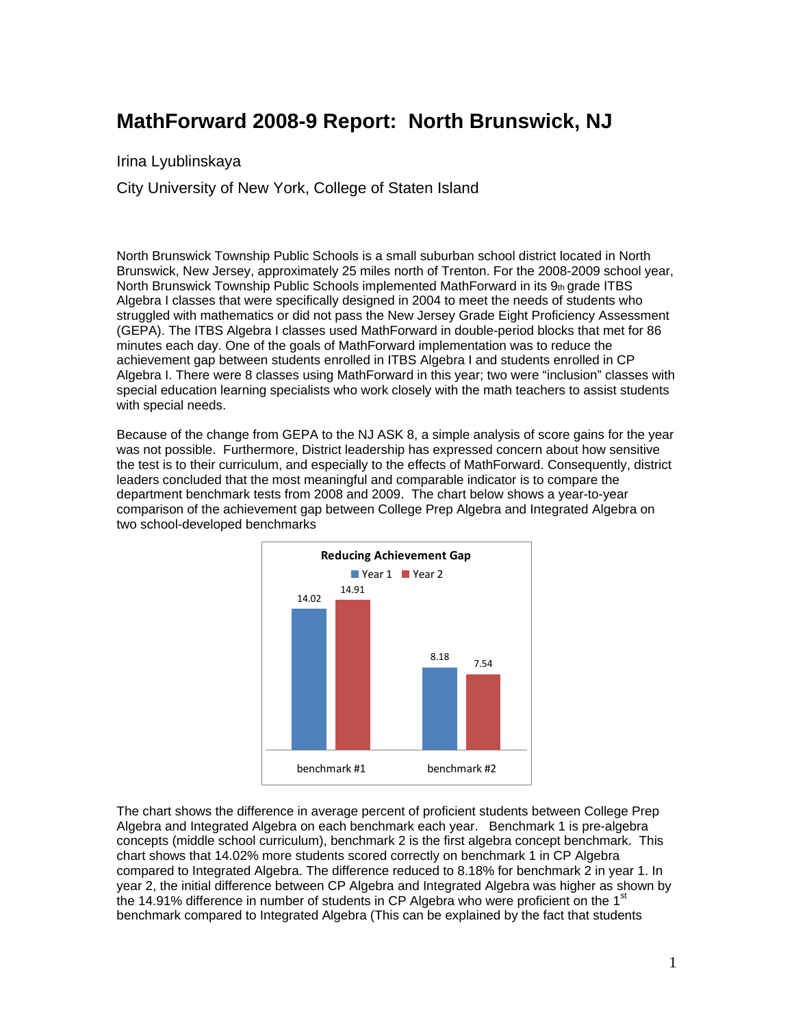## **MathForward 2008-9 Report: North Brunswick, NJ**

Irina Lyublinskaya

City University of New York, College of Staten Island

North Brunswick Township Public Schools is a small suburban school district located in North Brunswick, New Jersey, approximately 25 miles north of Trenton. For the 2008-2009 school year, North Brunswick Township Public Schools implemented MathForward in its 9th grade ITBS Algebra I classes that were specifically designed in 2004 to meet the needs of students who struggled with mathematics or did not pass the New Jersey Grade Eight Proficiency Assessment (GEPA). The ITBS Algebra I classes used MathForward in double-period blocks that met for 86 minutes each day. One of the goals of MathForward implementation was to reduce the achievement gap between students enrolled in ITBS Algebra I and students enrolled in CP Algebra I. There were 8 classes using MathForward in this year; two were "inclusion" classes with special education learning specialists who work closely with the math teachers to assist students with special needs.

Because of the change from GEPA to the NJ ASK 8, a simple analysis of score gains for the year was not possible. Furthermore, District leadership has expressed concern about how sensitive the test is to their curriculum, and especially to the effects of MathForward. Consequently, district leaders concluded that the most meaningful and comparable indicator is to compare the department benchmark tests from 2008 and 2009. The chart below shows a year-to-year comparison of the achievement gap between College Prep Algebra and Integrated Algebra on two school-developed benchmarks



The chart shows the difference in average percent of proficient students between College Prep Algebra and Integrated Algebra on each benchmark each year. Benchmark 1 is pre-algebra concepts (middle school curriculum), benchmark 2 is the first algebra concept benchmark. This chart shows that 14.02% more students scored correctly on benchmark 1 in CP Algebra compared to Integrated Algebra. The difference reduced to 8.18% for benchmark 2 in year 1. In year 2, the initial difference between CP Algebra and Integrated Algebra was higher as shown by the 14.91% difference in number of students in CP Algebra who were proficient on the 1 $^{\rm st}$ benchmark compared to Integrated Algebra (This can be explained by the fact that students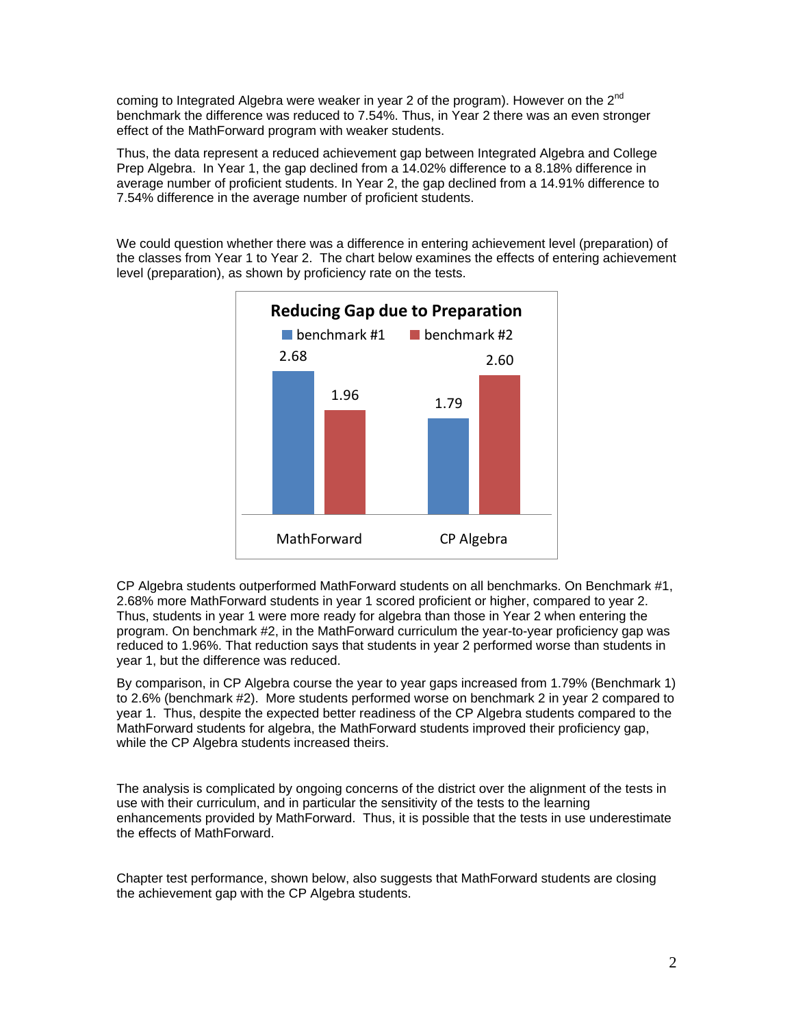coming to Integrated Algebra were weaker in year 2 of the program). However on the  $2^{nd}$ benchmark the difference was reduced to 7.54%. Thus, in Year 2 there was an even stronger effect of the MathForward program with weaker students.

Thus, the data represent a reduced achievement gap between Integrated Algebra and College Prep Algebra. In Year 1, the gap declined from a 14.02% difference to a 8.18% difference in average number of proficient students. In Year 2, the gap declined from a 14.91% difference to 7.54% difference in the average number of proficient students.

We could question whether there was a difference in entering achievement level (preparation) of the classes from Year 1 to Year 2. The chart below examines the effects of entering achievement level (preparation), as shown by proficiency rate on the tests.



CP Algebra students outperformed MathForward students on all benchmarks. On Benchmark #1, 2.68% more MathForward students in year 1 scored proficient or higher, compared to year 2. Thus, students in year 1 were more ready for algebra than those in Year 2 when entering the program. On benchmark #2, in the MathForward curriculum the year-to-year proficiency gap was reduced to 1.96%. That reduction says that students in year 2 performed worse than students in year 1, but the difference was reduced.

By comparison, in CP Algebra course the year to year gaps increased from 1.79% (Benchmark 1) to 2.6% (benchmark #2). More students performed worse on benchmark 2 in year 2 compared to year 1. Thus, despite the expected better readiness of the CP Algebra students compared to the MathForward students for algebra, the MathForward students improved their proficiency gap, while the CP Algebra students increased theirs.

The analysis is complicated by ongoing concerns of the district over the alignment of the tests in use with their curriculum, and in particular the sensitivity of the tests to the learning enhancements provided by MathForward. Thus, it is possible that the tests in use underestimate the effects of MathForward.

Chapter test performance, shown below, also suggests that MathForward students are closing the achievement gap with the CP Algebra students.